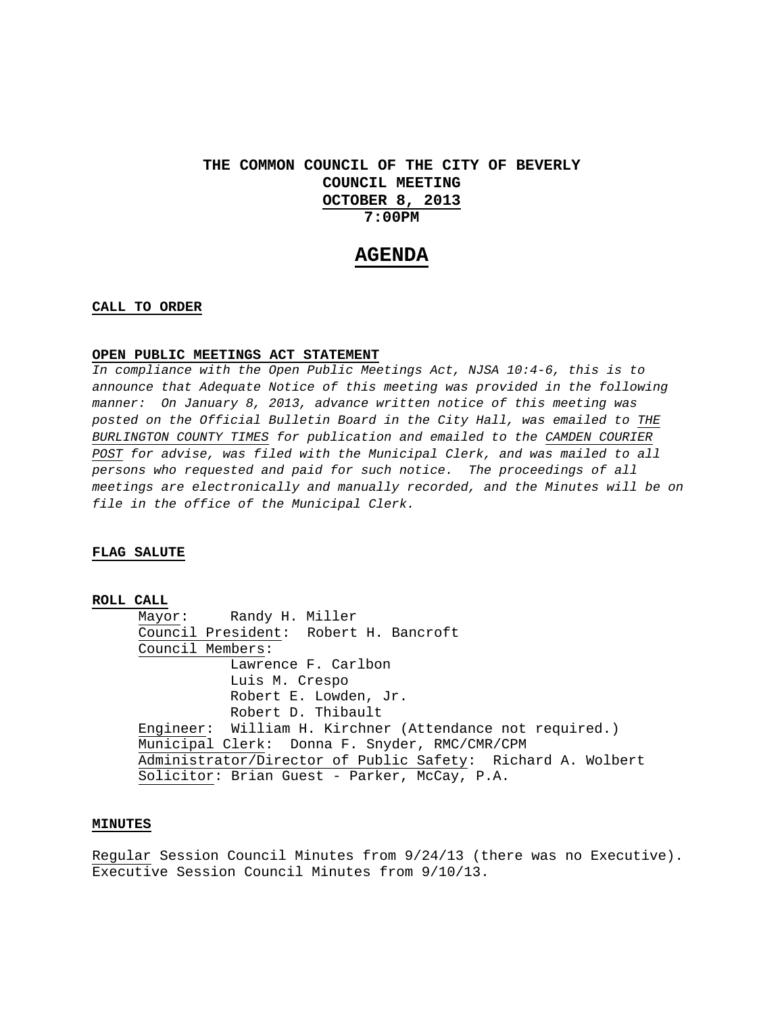# **THE COMMON COUNCIL OF THE CITY OF BEVERLY COUNCIL MEETING OCTOBER 8, 2013 7:00PM**

# **AGENDA**

### **CALL TO ORDER**

#### **OPEN PUBLIC MEETINGS ACT STATEMENT**

*In compliance with the Open Public Meetings Act, NJSA 10:4-6, this is to announce that Adequate Notice of this meeting was provided in the following manner: On January 8, 2013, advance written notice of this meeting was posted on the Official Bulletin Board in the City Hall, was emailed to THE BURLINGTON COUNTY TIMES for publication and emailed to the CAMDEN COURIER*  POST for advise, was filed with the Municipal Clerk, and was mailed to all *persons who requested and paid for such notice. The proceedings of all meetings are electronically and manually recorded, and the Minutes will be on file in the office of the Municipal Clerk.* 

## **FLAG SALUTE**

#### **ROLL CALL**

 Mayor: Randy H. Miller Council President: Robert H. Bancroft Council Members: Lawrence F. Carlbon Luis M. Crespo Robert E. Lowden, Jr. Robert D. Thibault Engineer: William H. Kirchner (Attendance not required.) Municipal Clerk: Donna F. Snyder, RMC/CMR/CPM Administrator/Director of Public Safety: Richard A. Wolbert Solicitor: Brian Guest - Parker, McCay, P.A.

#### **MINUTES**

Regular Session Council Minutes from 9/24/13 (there was no Executive). Executive Session Council Minutes from 9/10/13.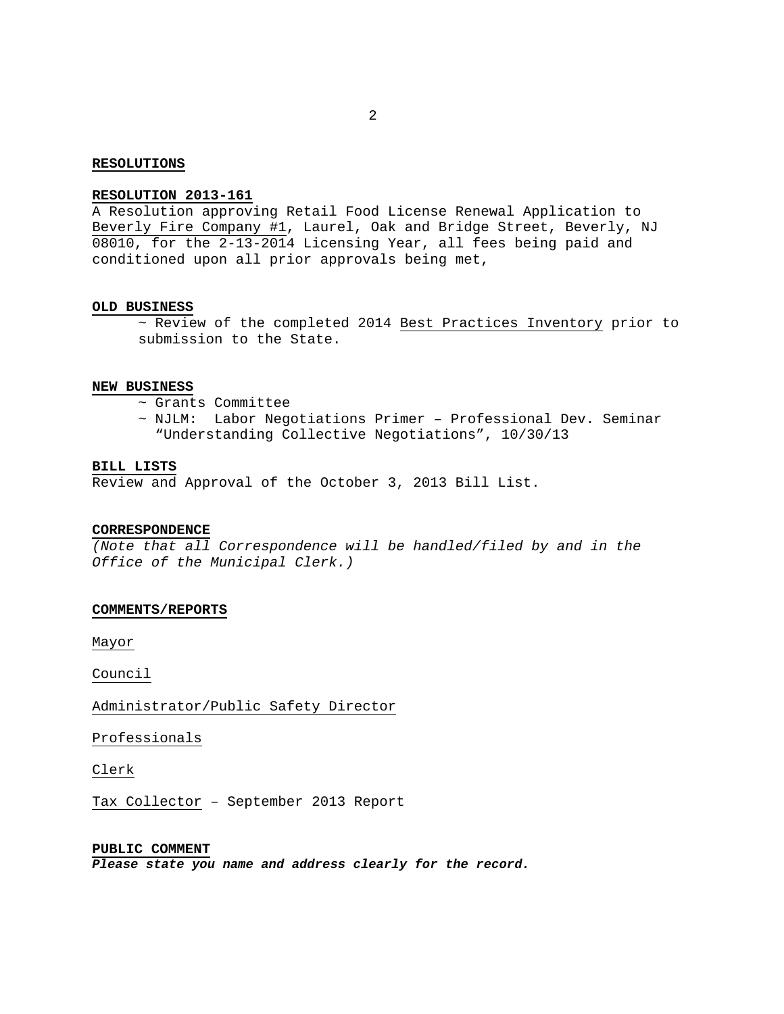#### **RESOLUTIONS**

# **RESOLUTION 2013-161**

A Resolution approving Retail Food License Renewal Application to Beverly Fire Company #1, Laurel, Oak and Bridge Street, Beverly, NJ 08010, for the 2-13-2014 Licensing Year, all fees being paid and conditioned upon all prior approvals being met,

#### **OLD BUSINESS**

~ Review of the completed 2014 Best Practices Inventory prior to submission to the State.

### **NEW BUSINESS**

- ~ Grants Committee
- ~ NJLM: Labor Negotiations Primer Professional Dev. Seminar "Understanding Collective Negotiations", 10/30/13

## **BILL LISTS**

Review and Approval of the October 3, 2013 Bill List.

#### **CORRESPONDENCE**

*(Note that all Correspondence will be handled/filed by and in the Office of the Municipal Clerk.)* 

#### **COMMENTS/REPORTS**

Mayor

Council

Administrator/Public Safety Director

Professionals

Clerk

Tax Collector – September 2013 Report

#### **PUBLIC COMMENT**

*Please state you name and address clearly for the record.*